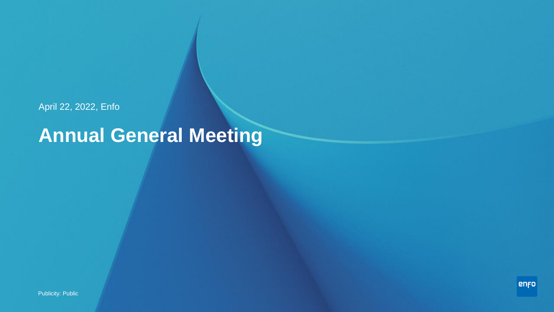April 22, 2022, Enfo

# **Annual General Meeting**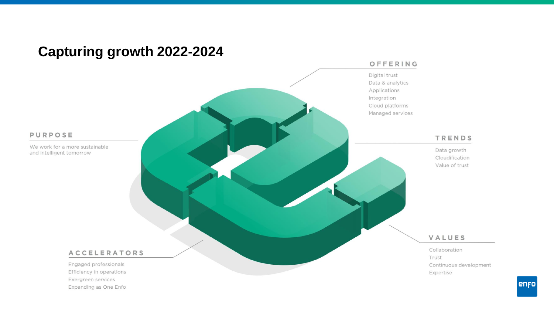

## enfo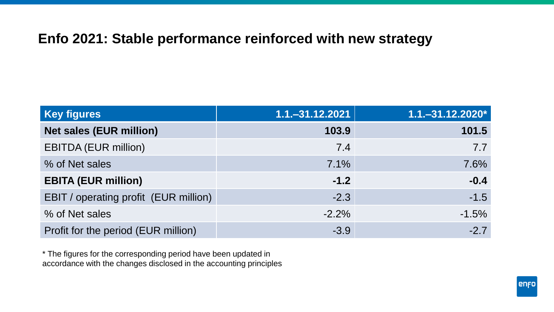## **Enfo 2021: Stable performance reinforced with new strategy**

| <b>Key figures</b>                    | $1.1 - 31.12.2021$ | $1.1 - 31.12.2020*$ |
|---------------------------------------|--------------------|---------------------|
| <b>Net sales (EUR million)</b>        | 103.9              | 101.5               |
| <b>EBITDA (EUR million)</b>           | 7.4                | 7.7                 |
| % of Net sales                        | 7.1%               | 7.6%                |
| <b>EBITA (EUR million)</b>            | $-1.2$             | $-0.4$              |
| EBIT / operating profit (EUR million) | $-2.3$             | $-1.5$              |
| % of Net sales                        | $-2.2%$            | $-1.5%$             |
| Profit for the period (EUR million)   | $-3.9$             | $-2.7$              |

\* The figures for the corresponding period have been updated in accordance with the changes disclosed in the accounting principles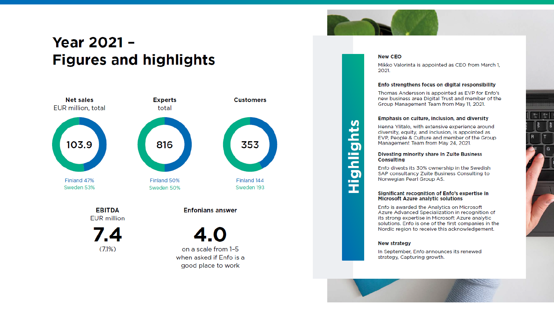## Year 2021 -**Figures and highlights**



**EBITDA EUR** million

7.4  $(7.1\%)$ 

## **Enfonians answer**

4.O on a scale from 1-5 when asked if Enfo is a good place to work



5

 $\epsilon$ 

o **TELEVISION** 

 $\blacksquare$ 

 $\blacksquare$ 

 $\mathbf{D}$ 

Ě

### **New CEO**

Mikko Valorinta is appointed as CEO from March 1, 2021.

### Enfo strengthens focus on digital responsibility

Thomas Andersson is appointed as EVP for Enfo's new business area Digital Trust and member of the Group Management Team from May 11, 2021.

 $\begin{array}{c|c|c|c|c} n & n \end{array}$ 

### Emphasis on culture, inclusion, and diversity

Henna Ylitalo, with extensive experience around diversity, equity, and inclusion, is appointed as EVP, People & Culture and member of the Group Management Team from May 24, 2021.

### Divesting minority share in Zuite Business **Consulting**

Enfo divests its 30% ownership in the Swedish SAP consultancy Zuite Business Consulting to Norwegian Pearl Group AS.

### Significant recognition of Enfo's expertise in **Microsoft Azure analytic solutions**

Enfo is awarded the Analytics on Microsoft Azure Advanced Specialization in recognition of its strong expertise in Microsoft Azure analytic solutions. Enfo is one of the first companies in the Nordic region to receive this acknowledgement.

### **New strategy**

In September, Enfo announces its renewed strategy, Capturing growth.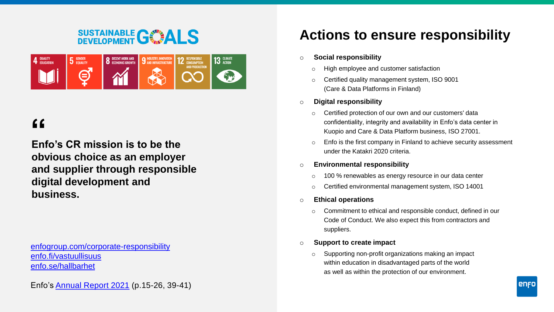## **SUSTAINABLE GALS**



## **"**

**Enfo's CR mission is to be the obvious choice as an employer and supplier through responsible digital development and business.**

[enfogroup.com/corporate-responsibility](http://www.enfogroup.com/corporate-responsibility) [enfo.fi/vastuullisuus](http://www.enfo.fi/vastuullisuus) [enfo.se/hallbarhet](http://www.enfo.se/hallbarhet)

Enfo's [Annual Report 2021](https://www.enfogroup.com/file-download/download/public/2405) (p.15-26, 39-41)

## **Actions to ensure responsibility**

## o **Social responsibility**

- o High employee and customer satisfaction
- Certified quality management system, ISO 9001 (Care & Data Platforms in Finland)
- o **Digital responsibility**
	- Certified protection of our own and our customers' data confidentiality, integrity and availability in Enfo's data center in Kuopio and Care & Data Platform business, ISO 27001.
	- o Enfo is the first company in Finland to achieve security assessment under the Katakri 2020 criteria.

## o **Environmental responsibility**

- $\circ$  100 % renewables as energy resource in our data center
- o Certified environmental management system, ISO 14001
- o **Ethical operations**
	- o Commitment to ethical and responsible conduct, defined in our Code of Conduct. We also expect this from contractors and suppliers.

## o **Support to create impact**

o Supporting non-profit organizations making an impact within education in disadvantaged parts of the world as well as within the protection of our environment.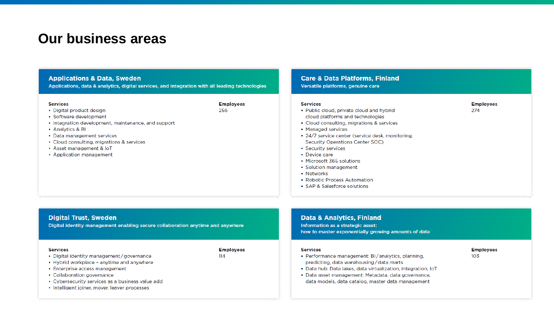## **Our business areas**

## **Applications & Data, Sweden**

Applications, data & analytics, digital services, and integration with all leading technologies

### **Services**

• Digital product design

#### **Employees** 256

**Employees** 

 $114$ 

- · Software development
- Integration development, maintenance, and support
- Analytics & BI
- Data management services
- Cloud consulting, migrations & services
- Asset management & IoT
- Application management

## **Digital Trust, Sweden**

Digital identity management enabling secure collaboration anytime and anywhere

#### **Services**

- Digital identity management/governance
- Hybrid workplace anytime and anywhere
- Enterprise access management
- Collaboration governance
- Cybersecurity services as a business value add
- Intelligent joiner, mover, leaver processes

## **Care & Data Platforms, Finland** Versatile platforms, genuine care

### **Services**

### • Public cloud, private cloud and hybrid cloud platforms and technologies

- Cloud consulting, migrations & services
- Managed services
- 24/7 service center (service desk, monitoring, Security Operations Center SOC)
- Security services
- Device care
- Microsoft 365 solutions
- Solution management
- Networks
- Robotic Process Automation
- SAP & Salesforce solutions

## **Data & Analytics, Finland**

Information as a strategic asset: how to master exponentially growing amounts of data

#### **Services**

• Performance management: BI/analytics, planning,

103

- predicting, data warehousing/data marts
- · Data hub: Data lakes, data virtualization, integration, IoT
- · Data asset management: Metadata, data governance, data models, data catalog, master data management

**Employees** 

**Employees** 

274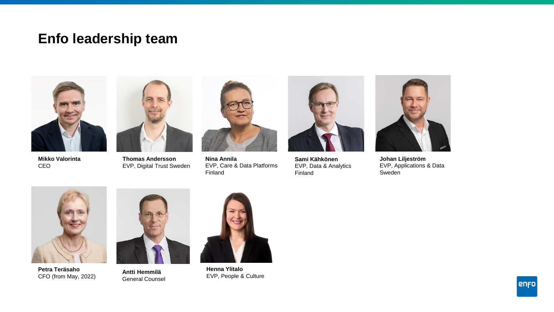## **Enfo leadership team**



**Mikko Valorinta** CEO



**Thomas Andersson** EVP, Digital Trust Sweden



**Nina Annila** EVP, Care & Data Platforms Finland



**Sami Kähkönen** EVP, Data & Analytics Finland



**Johan Liljeström** EVP, Applications & Data **Sweden** 



**Petra Teräsaho** CFO (from May, 2022)



**Antti Hemmilä** General Counsel



**Henna Ylitalo** EVP, People & Culture